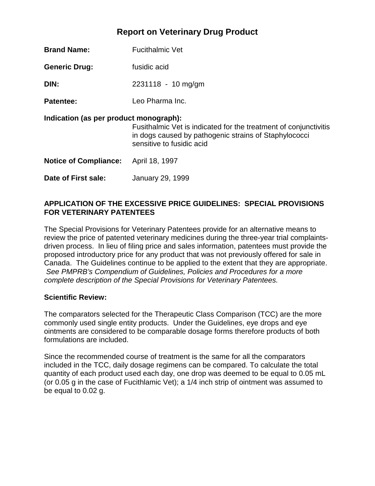## **Report on Veterinary Drug Product**

| <b>Brand Name:</b>                     | <b>Fucithalmic Vet</b>                                                                                                                                 |  |  |
|----------------------------------------|--------------------------------------------------------------------------------------------------------------------------------------------------------|--|--|
| <b>Generic Drug:</b>                   | fusidic acid                                                                                                                                           |  |  |
| DIN:                                   | $2231118 - 10$ mg/gm                                                                                                                                   |  |  |
| <b>Patentee:</b>                       | Leo Pharma Inc.                                                                                                                                        |  |  |
| Indication (as per product monograph): | Fusithalmic Vet is indicated for the treatment of conjunctivitis<br>in dogs caused by pathogenic strains of Staphylococci<br>sensitive to fusidic acid |  |  |
| <b>Notice of Compliance:</b>           | April 18, 1997                                                                                                                                         |  |  |
| Date of First sale:                    | <b>January 29, 1999</b>                                                                                                                                |  |  |

## **APPLICATION OF THE EXCESSIVE PRICE GUIDELINES: SPECIAL PROVISIONS FOR VETERINARY PATENTEES**

The Special Provisions for Veterinary Patentees provide for an alternative means to review the price of patented veterinary medicines during the three-year trial complaintsdriven process. In lieu of filing price and sales information, patentees must provide the proposed introductory price for any product that was not previously offered for sale in Canada. The Guidelines continue to be applied to the extent that they are appropriate. *See PMPRB's Compendium of Guidelines, Policies and Procedures for a more complete description of the Special Provisions for Veterinary Patentees.* 

## **Scientific Review:**

The comparators selected for the Therapeutic Class Comparison (TCC) are the more commonly used single entity products. Under the Guidelines, eye drops and eye ointments are considered to be comparable dosage forms therefore products of both formulations are included.

Since the recommended course of treatment is the same for all the comparators included in the TCC, daily dosage regimens can be compared. To calculate the total quantity of each product used each day, one drop was deemed to be equal to 0.05 mL (or 0.05 g in the case of Fucithlamic Vet); a 1/4 inch strip of ointment was assumed to be equal to 0.02 g.